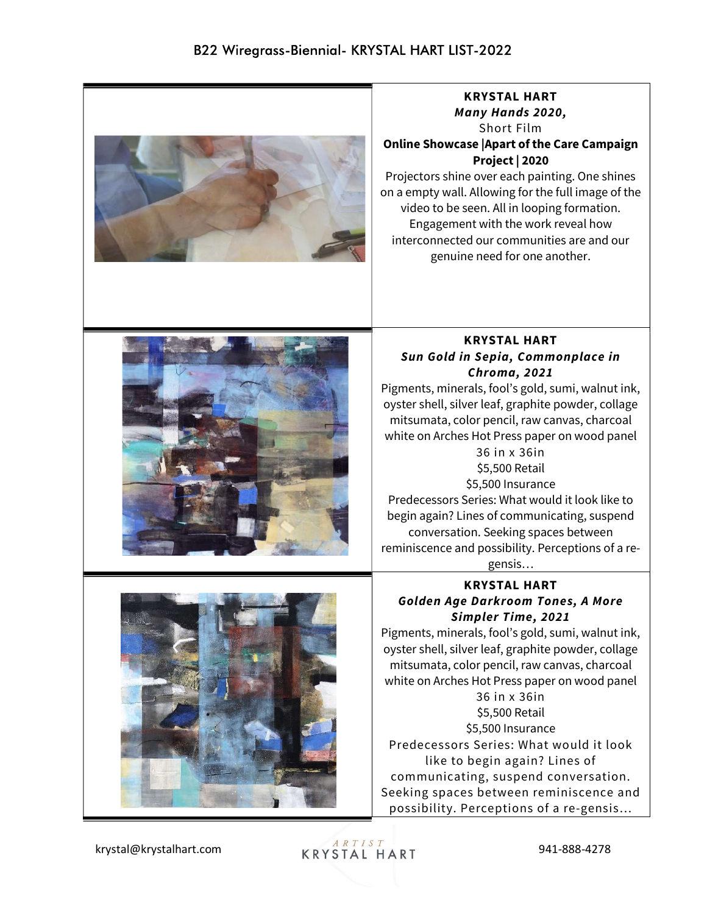

krystal@krystalhart.com 941-888-4278